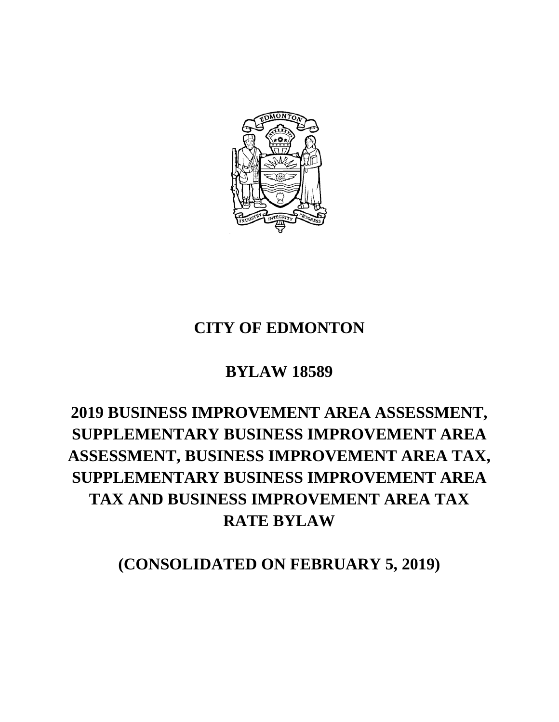

# **CITY OF EDMONTON**

## **BYLAW 18589**

# **2019 BUSINESS IMPROVEMENT AREA ASSESSMENT, SUPPLEMENTARY BUSINESS IMPROVEMENT AREA ASSESSMENT, BUSINESS IMPROVEMENT AREA TAX, SUPPLEMENTARY BUSINESS IMPROVEMENT AREA TAX AND BUSINESS IMPROVEMENT AREA TAX RATE BYLAW**

**(CONSOLIDATED ON FEBRUARY 5, 2019)**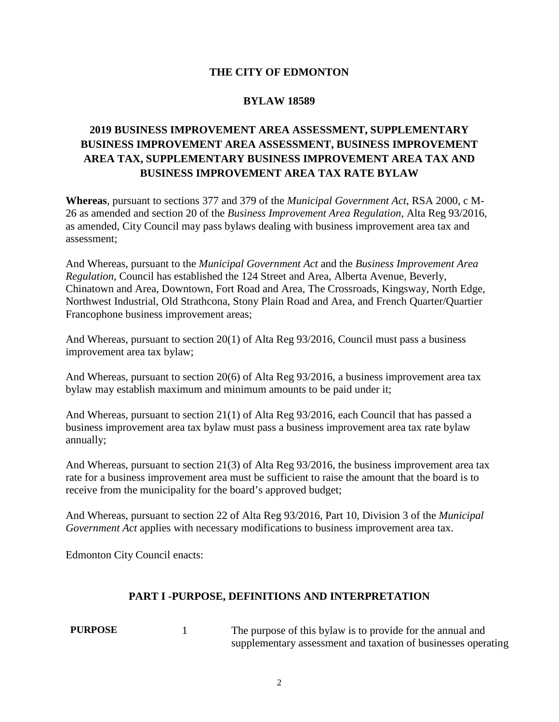#### **THE CITY OF EDMONTON**

#### **BYLAW 18589**

## **2019 BUSINESS IMPROVEMENT AREA ASSESSMENT, SUPPLEMENTARY BUSINESS IMPROVEMENT AREA ASSESSMENT, BUSINESS IMPROVEMENT AREA TAX, SUPPLEMENTARY BUSINESS IMPROVEMENT AREA TAX AND BUSINESS IMPROVEMENT AREA TAX RATE BYLAW**

**Whereas**, pursuant to sections 377 and 379 of the *Municipal Government Act*, RSA 2000, c M-26 as amended and section 20 of the *Business Improvement Area Regulation*, Alta Reg 93/2016, as amended, City Council may pass bylaws dealing with business improvement area tax and assessment;

And Whereas, pursuant to the *Municipal Government Act* and the *Business Improvement Area Regulation*, Council has established the 124 Street and Area, Alberta Avenue, Beverly, Chinatown and Area, Downtown, Fort Road and Area, The Crossroads, Kingsway, North Edge, Northwest Industrial, Old Strathcona, Stony Plain Road and Area, and French Quarter/Quartier Francophone business improvement areas;

And Whereas, pursuant to section 20(1) of Alta Reg 93/2016, Council must pass a business improvement area tax bylaw;

And Whereas, pursuant to section 20(6) of Alta Reg 93/2016, a business improvement area tax bylaw may establish maximum and minimum amounts to be paid under it;

And Whereas, pursuant to section 21(1) of Alta Reg 93/2016, each Council that has passed a business improvement area tax bylaw must pass a business improvement area tax rate bylaw annually;

And Whereas, pursuant to section 21(3) of Alta Reg 93/2016, the business improvement area tax rate for a business improvement area must be sufficient to raise the amount that the board is to receive from the municipality for the board's approved budget;

And Whereas, pursuant to section 22 of Alta Reg 93/2016, Part 10, Division 3 of the *Municipal Government Act* applies with necessary modifications to business improvement area tax.

Edmonton City Council enacts:

#### **PART I -PURPOSE, DEFINITIONS AND INTERPRETATION**

| <b>PURPOSE</b> | The purpose of this bylaw is to provide for the annual and    |
|----------------|---------------------------------------------------------------|
|                | supplementary assessment and taxation of businesses operating |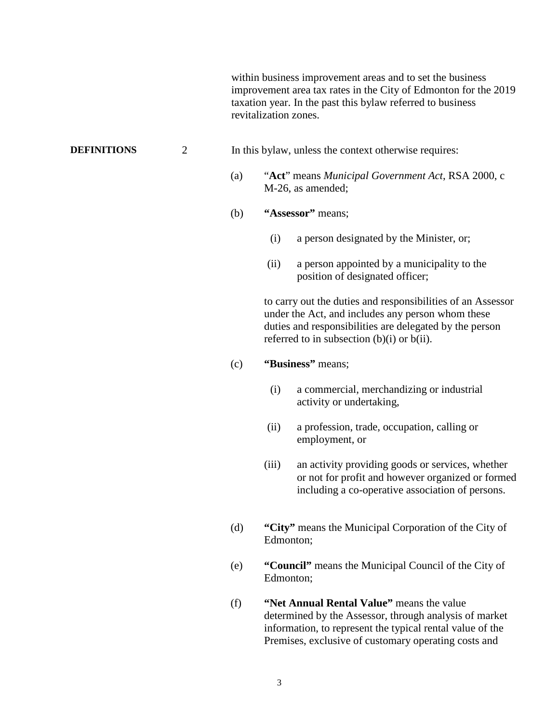within business improvement areas and to set the business improvement area tax rates in the City of Edmonton for the 2019 taxation year. In the past this bylaw referred to business revitalization zones.

#### **DEFINITIONS** 2 In this bylaw, unless the context otherwise requires:

- (a) "**Act**" means *Municipal Government Act*, RSA 2000, c M-26, as amended;
- (b) **"Assessor"** means;
	- (i) a person designated by the Minister, or;
	- (ii) a person appointed by a municipality to the position of designated officer;

to carry out the duties and responsibilities of an Assessor under the Act, and includes any person whom these duties and responsibilities are delegated by the person referred to in subsection (b)(i) or b(ii).

#### (c) **"Business"** means;

- (i) a commercial, merchandizing or industrial activity or undertaking,
- (ii) a profession, trade, occupation, calling or employment, or
- (iii) an activity providing goods or services, whether or not for profit and however organized or formed including a co-operative association of persons.
- (d) **"City"** means the Municipal Corporation of the City of Edmonton;
- (e) **"Council"** means the Municipal Council of the City of Edmonton;
- (f) **"Net Annual Rental Value"** means the value determined by the Assessor, through analysis of market information, to represent the typical rental value of the Premises, exclusive of customary operating costs and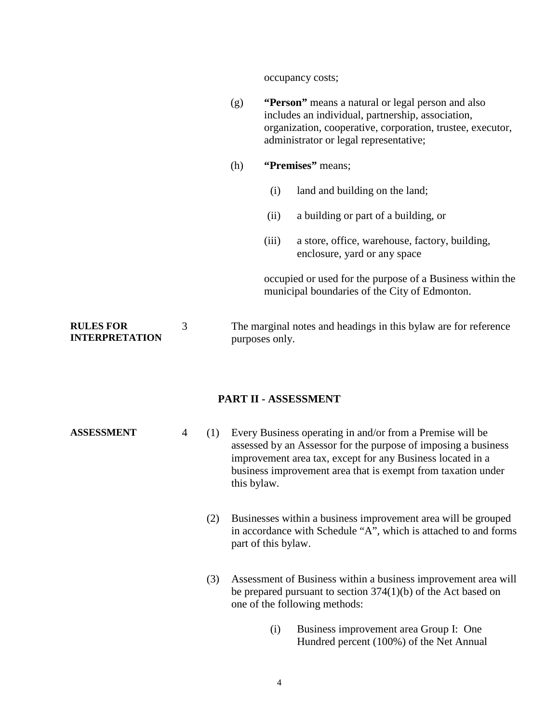occupancy costs;

|                                           |   | (g) | "Person" means a natural or legal person and also<br>includes an individual, partnership, association,<br>organization, cooperative, corporation, trustee, executor,<br>administrator or legal representative; |                                                                                                            |  |
|-------------------------------------------|---|-----|----------------------------------------------------------------------------------------------------------------------------------------------------------------------------------------------------------------|------------------------------------------------------------------------------------------------------------|--|
|                                           |   | (h) | "Premises" means;                                                                                                                                                                                              |                                                                                                            |  |
|                                           |   |     | (i)                                                                                                                                                                                                            | land and building on the land;                                                                             |  |
|                                           |   |     | (ii)                                                                                                                                                                                                           | a building or part of a building, or                                                                       |  |
|                                           |   |     | (iii)                                                                                                                                                                                                          | a store, office, warehouse, factory, building,<br>enclosure, yard or any space                             |  |
|                                           |   |     |                                                                                                                                                                                                                | occupied or used for the purpose of a Business within the<br>municipal boundaries of the City of Edmonton. |  |
| <b>RULES FOR</b><br><b>INTERPRETATION</b> | 3 |     | The marginal notes and headings in this bylaw are for reference<br>purposes only.                                                                                                                              |                                                                                                            |  |
| PART II - ASSESSMENT                      |   |     |                                                                                                                                                                                                                |                                                                                                            |  |

**ASSESSMENT** 4 (1) Every Business operating in and/or from a Premise will be assessed by an Assessor for the purpose of imposing a business improvement area tax, except for any Business located in a business improvement area that is exempt from taxation under this bylaw.

- (2) Businesses within a business improvement area will be grouped in accordance with Schedule "A", which is attached to and forms part of this bylaw.
- (3) Assessment of Business within a business improvement area will be prepared pursuant to section 374(1)(b) of the Act based on one of the following methods:
	- (i) Business improvement area Group I: One Hundred percent (100%) of the Net Annual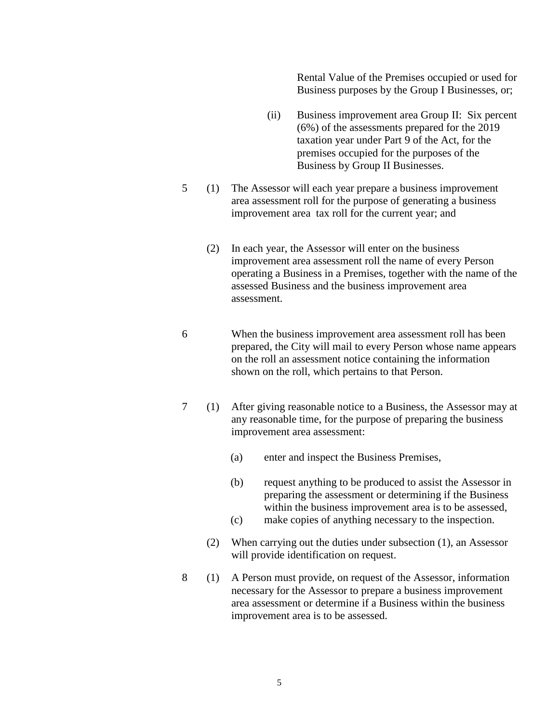Rental Value of the Premises occupied or used for Business purposes by the Group I Businesses, or;

- (ii) Business improvement area Group II: Six percent (6%) of the assessments prepared for the 2019 taxation year under Part 9 of the Act, for the premises occupied for the purposes of the Business by Group II Businesses.
- 5 (1) The Assessor will each year prepare a business improvement area assessment roll for the purpose of generating a business improvement area tax roll for the current year; and
	- (2) In each year, the Assessor will enter on the business improvement area assessment roll the name of every Person operating a Business in a Premises, together with the name of the assessed Business and the business improvement area assessment.
- 6 When the business improvement area assessment roll has been prepared, the City will mail to every Person whose name appears on the roll an assessment notice containing the information shown on the roll, which pertains to that Person.
- 7 (1) After giving reasonable notice to a Business, the Assessor may at any reasonable time, for the purpose of preparing the business improvement area assessment:
	- (a) enter and inspect the Business Premises,
	- (b) request anything to be produced to assist the Assessor in preparing the assessment or determining if the Business within the business improvement area is to be assessed,
	- (c) make copies of anything necessary to the inspection.
	- (2) When carrying out the duties under subsection (1), an Assessor will provide identification on request.
- 8 (1) A Person must provide, on request of the Assessor, information necessary for the Assessor to prepare a business improvement area assessment or determine if a Business within the business improvement area is to be assessed.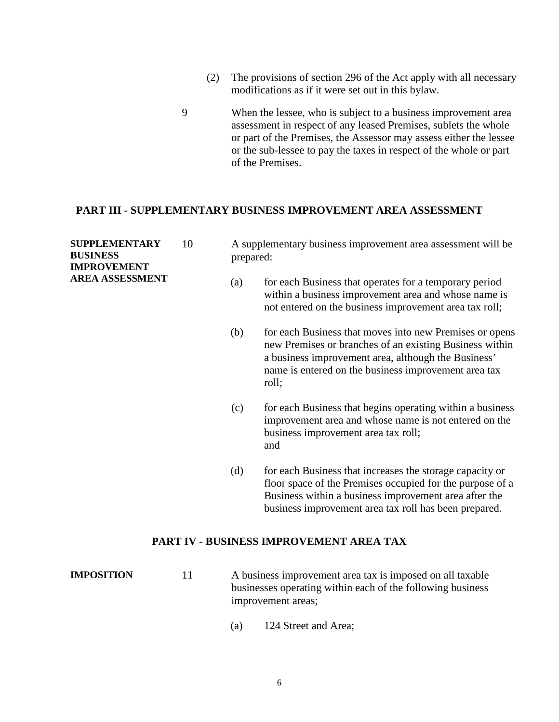- (2) The provisions of section 296 of the Act apply with all necessary modifications as if it were set out in this bylaw.
- 9 When the lessee, who is subject to a business improvement area assessment in respect of any leased Premises, sublets the whole or part of the Premises, the Assessor may assess either the lessee or the sub-lessee to pay the taxes in respect of the whole or part of the Premises.

#### **PART III - SUPPLEMENTARY BUSINESS IMPROVEMENT AREA ASSESSMENT**

| <b>SUPPLEMENTARY</b><br><b>BUSINESS</b><br><b>IMPROVEMENT</b><br><b>AREA ASSESSMENT</b> | 10  | A supplementary business improvement area assessment will be<br>prepared: |                                                                                                                                                                                                                                            |  |  |
|-----------------------------------------------------------------------------------------|-----|---------------------------------------------------------------------------|--------------------------------------------------------------------------------------------------------------------------------------------------------------------------------------------------------------------------------------------|--|--|
|                                                                                         |     | (a)                                                                       | for each Business that operates for a temporary period<br>within a business improvement area and whose name is<br>not entered on the business improvement area tax roll;                                                                   |  |  |
|                                                                                         |     | (b)                                                                       | for each Business that moves into new Premises or opens<br>new Premises or branches of an existing Business within<br>a business improvement area, although the Business'<br>name is entered on the business improvement area tax<br>roll; |  |  |
|                                                                                         |     | (c)                                                                       | for each Business that begins operating within a business<br>improvement area and whose name is not entered on the<br>business improvement area tax roll;<br>and                                                                           |  |  |
|                                                                                         | (d) |                                                                           | for each Business that increases the storage capacity or<br>floor space of the Premises occupied for the purpose of a<br>Business within a business improvement area after the<br>business improvement area tax roll has been prepared.    |  |  |
|                                                                                         |     |                                                                           | PART IV - BUSINESS IMPROVEMENT AREA TAX                                                                                                                                                                                                    |  |  |

- **IMPOSITION** 11 A business improvement area tax is imposed on all taxable businesses operating within each of the following business improvement areas;
	- (a) 124 Street and Area;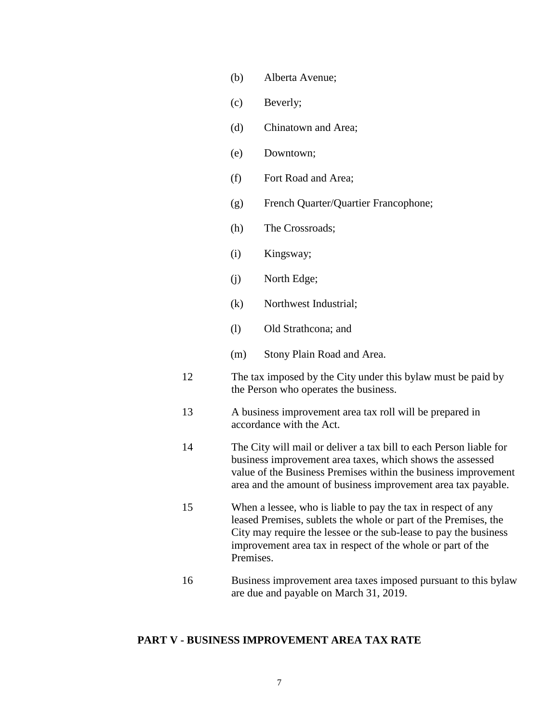- (b) Alberta Avenue;
- (c) Beverly;
- (d) Chinatown and Area;
- (e) Downtown;
- (f) Fort Road and Area;
- (g) French Quarter/Quartier Francophone;
- (h) The Crossroads;
- (i) Kingsway;
- (j) North Edge;
- (k) Northwest Industrial;
- (l) Old Strathcona; and
- (m) Stony Plain Road and Area.
- 12 The tax imposed by the City under this bylaw must be paid by the Person who operates the business.
- 13 A business improvement area tax roll will be prepared in accordance with the Act.
- 14 The City will mail or deliver a tax bill to each Person liable for business improvement area taxes, which shows the assessed value of the Business Premises within the business improvement area and the amount of business improvement area tax payable.
- 15 When a lessee, who is liable to pay the tax in respect of any leased Premises, sublets the whole or part of the Premises, the City may require the lessee or the sub-lease to pay the business improvement area tax in respect of the whole or part of the Premises.
- 16 Business improvement area taxes imposed pursuant to this bylaw are due and payable on March 31, 2019.

#### **PART V - BUSINESS IMPROVEMENT AREA TAX RATE**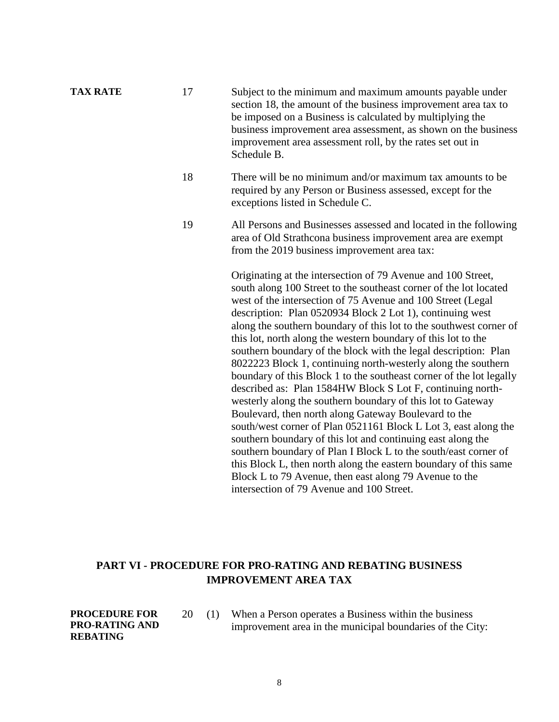- **TAX RATE** 17 Subject to the minimum and maximum amounts payable under section 18, the amount of the business improvement area tax to be imposed on a Business is calculated by multiplying the business improvement area assessment, as shown on the business improvement area assessment roll, by the rates set out in Schedule B.
	- 18 There will be no minimum and/or maximum tax amounts to be required by any Person or Business assessed, except for the exceptions listed in Schedule C.
	- 19 All Persons and Businesses assessed and located in the following area of Old Strathcona business improvement area are exempt from the 2019 business improvement area tax:

Originating at the intersection of 79 Avenue and 100 Street, south along 100 Street to the southeast corner of the lot located west of the intersection of 75 Avenue and 100 Street (Legal description: Plan 0520934 Block 2 Lot 1), continuing west along the southern boundary of this lot to the southwest corner of this lot, north along the western boundary of this lot to the southern boundary of the block with the legal description: Plan 8022223 Block 1, continuing north-westerly along the southern boundary of this Block 1 to the southeast corner of the lot legally described as: Plan 1584HW Block S Lot F, continuing northwesterly along the southern boundary of this lot to Gateway Boulevard, then north along Gateway Boulevard to the south/west corner of Plan 0521161 Block L Lot 3, east along the southern boundary of this lot and continuing east along the southern boundary of Plan I Block L to the south/east corner of this Block L, then north along the eastern boundary of this same Block L to 79 Avenue, then east along 79 Avenue to the intersection of 79 Avenue and 100 Street.

## **PART VI - PROCEDURE FOR PRO-RATING AND REBATING BUSINESS IMPROVEMENT AREA TAX**

- **PROCEDURE FOR PRO-RATING AND REBATING**
- 20 (1) When a Person operates a Business within the business improvement area in the municipal boundaries of the City: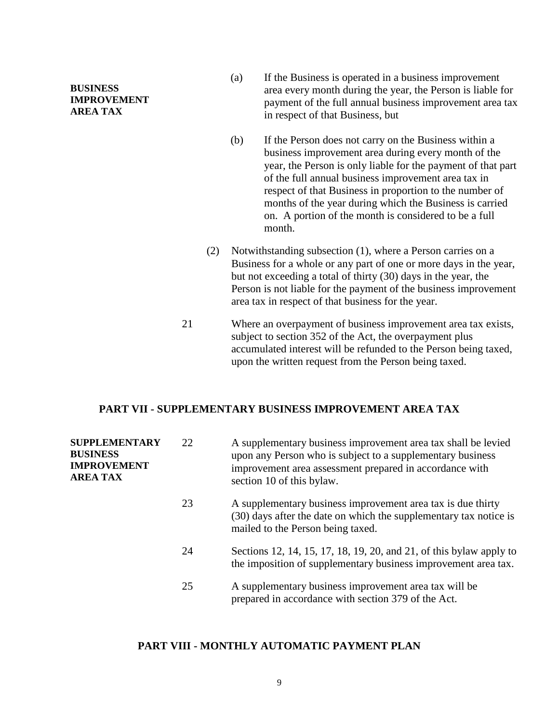**BUSINESS IMPROVEMENT AREA TAX**

- (a) If the Business is operated in a business improvement area every month during the year, the Person is liable for payment of the full annual business improvement area tax in respect of that Business, but
- (b) If the Person does not carry on the Business within a business improvement area during every month of the year, the Person is only liable for the payment of that part of the full annual business improvement area tax in respect of that Business in proportion to the number of months of the year during which the Business is carried on. A portion of the month is considered to be a full month.
- (2) Notwithstanding subsection (1), where a Person carries on a Business for a whole or any part of one or more days in the year, but not exceeding a total of thirty (30) days in the year, the Person is not liable for the payment of the business improvement area tax in respect of that business for the year.
- 21 Where an overpayment of business improvement area tax exists, subject to section 352 of the Act, the overpayment plus accumulated interest will be refunded to the Person being taxed, upon the written request from the Person being taxed.

#### **PART VII - SUPPLEMENTARY BUSINESS IMPROVEMENT AREA TAX**

| <b>SUPPLEMENTARY</b><br><b>BUSINESS</b><br><b>IMPROVEMENT</b><br><b>AREA TAX</b> | 22 | A supplementary business improvement area tax shall be levied<br>upon any Person who is subject to a supplementary business<br>improvement area assessment prepared in accordance with<br>section 10 of this bylaw. |
|----------------------------------------------------------------------------------|----|---------------------------------------------------------------------------------------------------------------------------------------------------------------------------------------------------------------------|
|                                                                                  | 23 | A supplementary business improvement area tax is due thirty<br>(30) days after the date on which the supplementary tax notice is<br>mailed to the Person being taxed.                                               |
|                                                                                  | 24 | Sections 12, 14, 15, 17, 18, 19, 20, and 21, of this bylaw apply to<br>the imposition of supplementary business improvement area tax.                                                                               |
|                                                                                  | 25 | A supplementary business improvement area tax will be<br>prepared in accordance with section 379 of the Act.                                                                                                        |

#### **PART VIII - MONTHLY AUTOMATIC PAYMENT PLAN**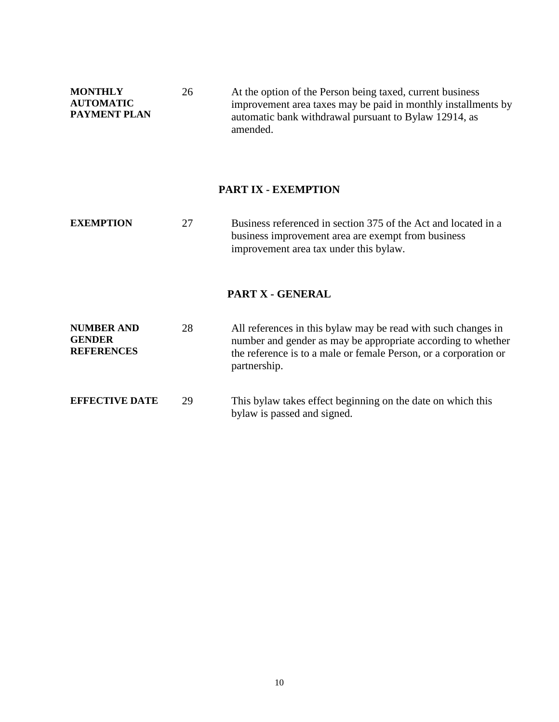| <b>MONTHLY</b><br><b>AUTOMATIC</b><br><b>PAYMENT PLAN</b> | 26 | At the option of the Person being taxed, current business<br>improvement area taxes may be paid in monthly installments by<br>automatic bank withdrawal pursuant to Bylaw 12914, as<br>amended.                   |
|-----------------------------------------------------------|----|-------------------------------------------------------------------------------------------------------------------------------------------------------------------------------------------------------------------|
|                                                           |    | <b>PART IX - EXEMPTION</b>                                                                                                                                                                                        |
| <b>EXEMPTION</b>                                          | 27 | Business referenced in section 375 of the Act and located in a<br>business improvement area are exempt from business<br>improvement area tax under this bylaw.                                                    |
|                                                           |    | PART X - GENERAL                                                                                                                                                                                                  |
| <b>NUMBER AND</b><br><b>GENDER</b><br><b>REFERENCES</b>   | 28 | All references in this bylaw may be read with such changes in<br>number and gender as may be appropriate according to whether<br>the reference is to a male or female Person, or a corporation or<br>partnership. |
| <b>EFFECTIVE DATE</b>                                     | 29 | This by law takes effect beginning on the date on which this<br>bylaw is passed and signed.                                                                                                                       |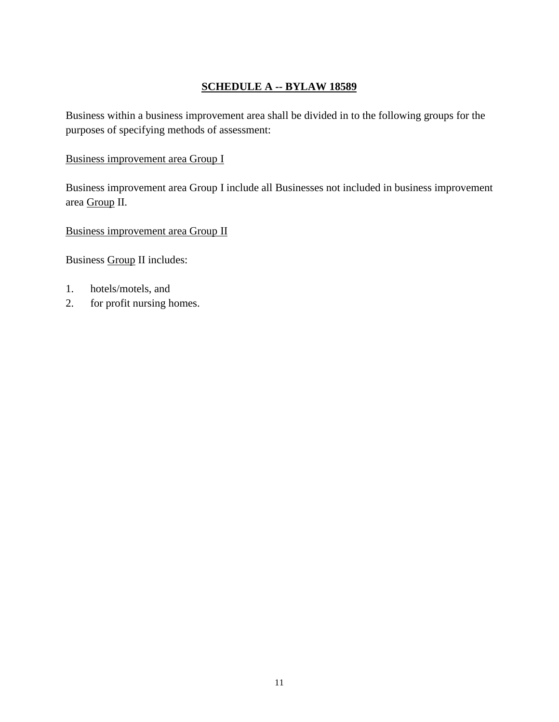## **SCHEDULE A -- BYLAW 18589**

Business within a business improvement area shall be divided in to the following groups for the purposes of specifying methods of assessment:

#### Business improvement area Group I

Business improvement area Group I include all Businesses not included in business improvement area Group II.

Business improvement area Group II

Business Group II includes:

- 1. hotels/motels, and
- 2. for profit nursing homes.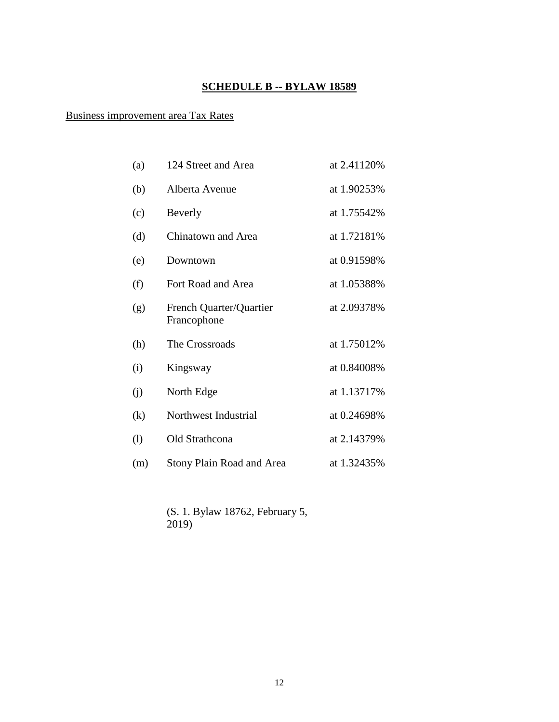## **SCHEDULE B -- BYLAW 18589**

## Business improvement area Tax Rates

| (a)                        | 124 Street and Area                    | at 2.41120% |
|----------------------------|----------------------------------------|-------------|
| (b)                        | Alberta Avenue                         | at 1.90253% |
| (c)                        | Beverly                                | at 1.75542% |
| (d)                        | Chinatown and Area                     | at 1.72181% |
| (e)                        | Downtown                               | at 0.91598% |
| (f)                        | Fort Road and Area                     | at 1.05388% |
| (g)                        | French Quarter/Quartier<br>Francophone | at 2.09378% |
| (h)                        | The Crossroads                         | at 1.75012% |
| (i)                        | Kingsway                               | at 0.84008% |
| (j)                        | North Edge                             | at 1.13717% |
| (k)                        | Northwest Industrial                   | at 0.24698% |
| $\left( \mathrm{l}\right)$ | Old Strathcona                         | at 2.14379% |
| (m)                        | Stony Plain Road and Area              | at 1.32435% |

(S. 1. Bylaw 18762, February 5, 2019)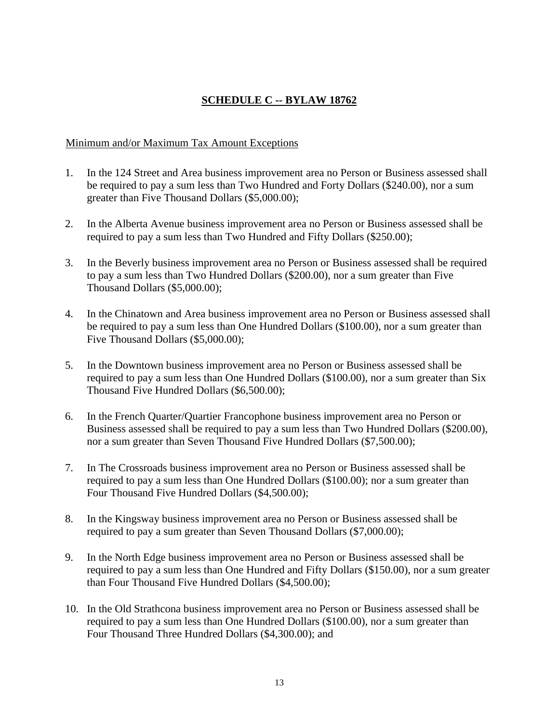## **SCHEDULE C -- BYLAW 18762**

#### Minimum and/or Maximum Tax Amount Exceptions

- 1. In the 124 Street and Area business improvement area no Person or Business assessed shall be required to pay a sum less than Two Hundred and Forty Dollars (\$240.00), nor a sum greater than Five Thousand Dollars (\$5,000.00);
- 2. In the Alberta Avenue business improvement area no Person or Business assessed shall be required to pay a sum less than Two Hundred and Fifty Dollars (\$250.00);
- 3. In the Beverly business improvement area no Person or Business assessed shall be required to pay a sum less than Two Hundred Dollars (\$200.00), nor a sum greater than Five Thousand Dollars (\$5,000.00);
- 4. In the Chinatown and Area business improvement area no Person or Business assessed shall be required to pay a sum less than One Hundred Dollars (\$100.00), nor a sum greater than Five Thousand Dollars (\$5,000.00);
- 5. In the Downtown business improvement area no Person or Business assessed shall be required to pay a sum less than One Hundred Dollars (\$100.00), nor a sum greater than Six Thousand Five Hundred Dollars (\$6,500.00);
- 6. In the French Quarter/Quartier Francophone business improvement area no Person or Business assessed shall be required to pay a sum less than Two Hundred Dollars (\$200.00), nor a sum greater than Seven Thousand Five Hundred Dollars (\$7,500.00);
- 7. In The Crossroads business improvement area no Person or Business assessed shall be required to pay a sum less than One Hundred Dollars (\$100.00); nor a sum greater than Four Thousand Five Hundred Dollars (\$4,500.00);
- 8. In the Kingsway business improvement area no Person or Business assessed shall be required to pay a sum greater than Seven Thousand Dollars (\$7,000.00);
- 9. In the North Edge business improvement area no Person or Business assessed shall be required to pay a sum less than One Hundred and Fifty Dollars (\$150.00), nor a sum greater than Four Thousand Five Hundred Dollars (\$4,500.00);
- 10. In the Old Strathcona business improvement area no Person or Business assessed shall be required to pay a sum less than One Hundred Dollars (\$100.00), nor a sum greater than Four Thousand Three Hundred Dollars (\$4,300.00); and